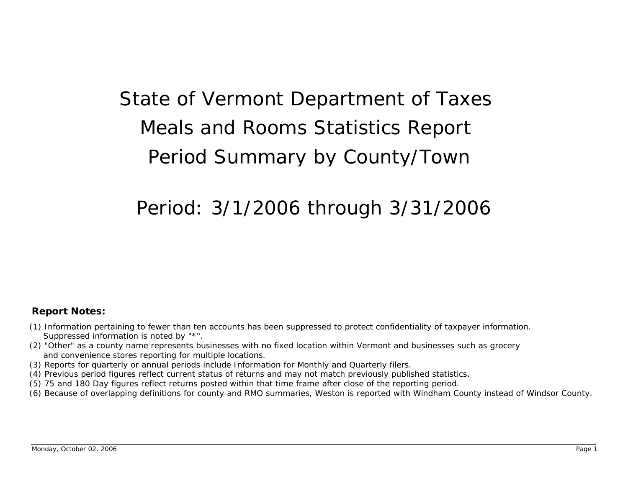## State of Vermont Department of Taxes Meals and Rooms Statistics Report Period Summar y b y County/Town

## Period: 3/1/2006 throu gh 3/31/2006

## **Report Notes:**

- (1) Information pertaining to fewer than ten accounts has been suppressed to protect confidentiality of taxpayer information. Suppressed information is noted by "\*".
- (2) "Other" as a county name represents businesses with no fixed location within Vermont and businesses such as grocery and convenience stores reporting for multiple locations.
- (3) Reports for quarterly or annual periods include Information for Monthly and Quarterly filers.
- (4) Previous period figures reflect current status of returns and may not match previously published statistics.
- (5) 75 and 180 Day figures reflect returns posted within that time frame after close of the reporting period.
- (6) Because of overlapping definitions for county and RMO summaries, Weston is reported with Windham County instead of Windsor County.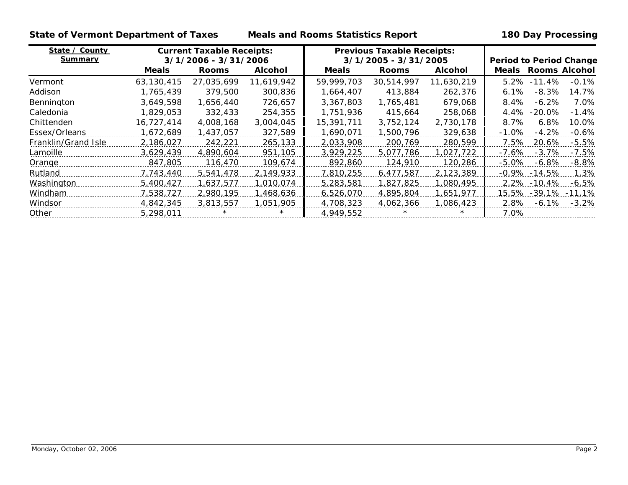**State of Vermont Department of Taxes Meals and Rooms Statistics Report 180 Day Processing**

| State / County      | <b>Current Taxable Receipts:</b> |              |                | <b>Previous Taxable Receipts:</b> |              |                |                                 |
|---------------------|----------------------------------|--------------|----------------|-----------------------------------|--------------|----------------|---------------------------------|
| <b>Summary</b>      | 3/1/2006 - 3/31/2006             |              |                | 3/1/2005 - 3/31/2005              |              |                | <b>Period to Period Change</b>  |
|                     | <b>Meals</b>                     | <b>Rooms</b> | <b>Alcohol</b> | <b>Meals</b>                      | <b>Rooms</b> | <b>Alcohol</b> | Meals Rooms Alcohol             |
| Vermont             | 63.130.415                       | 27.035.699   | 11.619.942     | 59.999.703                        | 30.514.997   | 11,630,219     | 5.2% -11.4%<br>$-0.1%$          |
| Addison             | 1,765,439                        | 379,500      | 300,836        | 1,664,407                         | 413,884      | 262,376        | 6.1%<br>$-8.3\%$<br>14.7%       |
| Bennington          | 3.649.598                        | 1,656,440    | 726,657        | 3,367,803                         | 1,765,481    | 679,068        | 8.4%<br>$-6.2%$<br>7.0%         |
| Caledonia           | 1,829,053                        | 332,433      | 254,355        | 1,751,936                         | 415.664      | 258,068        | 4.4%<br>$-1.4\%$<br>$-20.0\%$   |
| Chittenden          | 16,727,414                       | 4,008,168    | 3.004.045      | 15,391,711                        | 3,752,124    | 2,730,178      | 8.7%<br>6.8%<br>10.0%           |
| Essex/Orleans       | 1,672,689                        | 1,437,057    | 327,589        | 1,690,071                         | 1.500.796    | 329,638        | $-1.0%$<br>$-4.2%$<br>$-0.6\%$  |
| Franklin/Grand Isle | 2,186,027                        | 242.221      | 265,133        | 2,033,908                         | 200,769      | 280,599        | $-5.5%$<br>7.5%<br>20.6%        |
| Lamoille            | 3.629.439                        | 4.890.604    | 951,105        | 3,929,225                         | 5.077.786    | .027.722       | $-7.5%$<br>$-7.6\%$<br>$-3.7\%$ |
| Orange              | 847,805                          | 116,470      | 109,674        | 892,860                           | 124,910      | 120,286        | $-5.0%$<br>$-6.8\%$<br>$-8.8%$  |
| Rutland             | 7.743.440                        | 5,541,478    | 2,149,933      | 7,810,255                         | 6.477.587    | 2,123,389      | $-14.5\%$<br>1.3%<br>$-0.9\%$   |
| Washington          | 5,400,427                        | 1.637.577    | 1,010,074      | 5,283,581                         | 1,827,825    | 1,080,495      | 2.2% -10.4%<br>-6.5%            |
| Windham             | 7,538,727                        | 2.980.195    | 1,468,636      | 6,526,070                         | 4,895,804    | 1,651,977      | 15.5% -39.1% -11.1%             |
| Windsor             | 4.842,345                        | 3.813.557    | 1.051.905      | 4.708.323                         | 4.062.366    | 1,086,423      | 2.8%<br>-6.1%<br>$-3.2\%$       |
| Other               | 5.298.011                        | $\star$      |                | 4.949.552                         | $\star$      |                | 7.0%                            |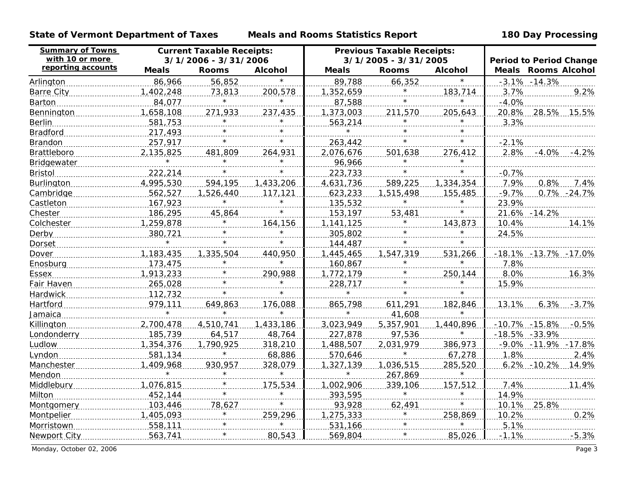**State of Vermont Department of Taxes Meals and Rooms Statistics Report 180 Day Processing**

| <b>Summary of Towns</b><br>with 10 or more | <b>Current Taxable Receipts:</b><br>3/1/2006 - 3/31/2006 |                        |                | <b>Previous Taxable Receipts:</b><br>3/1/2005 - 3/31/2005 |              |                | <b>Period to Period Change</b> |                            |
|--------------------------------------------|----------------------------------------------------------|------------------------|----------------|-----------------------------------------------------------|--------------|----------------|--------------------------------|----------------------------|
| reporting accounts                         | <b>Meals</b>                                             | <b>Rooms</b>           | <b>Alcohol</b> | <b>Meals</b>                                              | <b>Rooms</b> | <b>Alcohol</b> |                                | <b>Meals Rooms Alcohol</b> |
| Arlington                                  | 86,966                                                   | 56,852                 | $\star$        | 89,788                                                    | 66,352       | $\star$        |                                | $-3.1\% -14.3\%$           |
| <b>Barre City</b>                          | 1,402,248                                                | 73,813                 | 200,578        | 1,352,659                                                 | $\star$      | 183,714        | 3.7%                           | 9.2%                       |
| <b>Barton</b>                              | 84,077                                                   | $\star$                | $\star$        | 87,588                                                    |              | $\star$        | $-4.0%$                        |                            |
| Bennington                                 | 1,658,108                                                | 271,933                | 237,435        | 1,373,003                                                 | 211,570      | 205,643        |                                | 20.8% 28.5% 15.5%          |
| <b>Berlin</b>                              | 581,753                                                  | $\star$                | $\star$        | 563,214                                                   | $\star$      | $\star$        | 3.3%                           |                            |
| <b>Bradford</b>                            | 217,493                                                  |                        | $\star$        | $\star$                                                   |              | $\star$        |                                |                            |
| Brandon                                    | 257,917                                                  |                        | $\star$        | 263,442                                                   | $\star$      | $\star$        | $-2.1%$                        |                            |
| Brattleboro                                | 2,135,825                                                | 481,809                | 264,931        | 2,076,676                                                 | 501,638      | 276,412        | 2.8%                           | $-4.0%$<br>$-4.2%$         |
| <b>Bridgewater</b>                         |                                                          | $\star$                | $^\star$       | 96,966                                                    | $\star$      | $\star$        |                                |                            |
| <b>Bristol</b>                             | 222,214                                                  |                        | $\star$        | 223,733                                                   |              | $\star$        | $-0.7%$                        |                            |
| Burlington                                 | 4,995,530                                                | 594,195                | 1,433,206      | 4,631,736                                                 | 589,225      | 1,334,354      | 7.9%                           | 0.8%<br>7.4%               |
| Cambridge                                  | 562,527                                                  | 1,526,440              | 117,121        | 623,233                                                   | 1,515,498    | 155,485        | $-9.7%$                        | 0.7% -24.7%                |
| Castleton                                  | 167,923                                                  | $\star$                | $\star$        | 135,532                                                   | $\star$      | $\star$        | 23.9%                          |                            |
| Chester                                    | 186,295                                                  | 45,864                 | $\star$        | 153,197                                                   | 53,481       | $\star$        |                                | 21.6% - 14.2%              |
| Colchester                                 | 1,259,878                                                |                        | 164,156        | 1,141,125                                                 | $\star$      | 143,873        | 10.4%                          | 14.1%                      |
| Derby                                      | 380,721                                                  |                        | $\star$        | 305,802                                                   | $\star$      | $\star$        | 24.5%                          |                            |
| <b>Dorset</b>                              |                                                          | $\star$                | $\star$        | 144,487                                                   | $\star$      | $\star$        |                                |                            |
| Dover                                      | 1,183,435                                                | 1,335,504              | 440,950        | 1,445,465                                                 | 1,547,319    | 531,266        |                                | -18.1% -13.7% -17.0%       |
| Enosburg                                   | 173,475                                                  | $\star$                | $\star$        | 160,867                                                   | $\star$      | $\star$        | 7.8%                           |                            |
| Essex                                      | 1,913,233                                                |                        | 290,988        | 1,772,179                                                 |              | 250,144        | 8.0%                           | 16.3%                      |
| Fair Haven                                 | 265,028                                                  | and the control of the | $\star$        | 228,717                                                   | $\ast$       | $\star$        | 15.9%                          |                            |
| Hardwick                                   | 112,732                                                  |                        |                | $\star$                                                   |              |                |                                |                            |
| <b>Hartford</b>                            | 979,111                                                  | 649,863                | 176,088        | 865,798                                                   | 611,291      | 182,846        | 13.1%                          | $6.3\%$ -3.7%              |
| Jamaica                                    | $\star$                                                  | $\star$                | $\star$        | $\star$                                                   | 41,608       | $\star$        |                                |                            |
| Killington                                 | 2,700,478                                                | 4,510,741              | 1,433,186      | 3,023,949                                                 | 5,357,901    | 1,440,896      |                                | $-10.7\% -15.8\% -0.5\%$   |
| Londonderry                                | 185,739                                                  | 64,517                 | 48,764         | 227,878                                                   | 97,536       | $\star$        | -18.5% -33.9%                  |                            |
| <b>Ludlow</b>                              | 1,354,376                                                | 1,790,925              | 318,210        | 1,488,507                                                 | 2,031,979    | 386,973        |                                | $-9.0\% -11.9\% -17.8\%$   |
| Lyndon                                     | 581,134                                                  | $\star$                | 68,886         | 570,646                                                   | $\star$      | 67,278         | 1.8%                           | 2.4%                       |
| <b>Manchester</b>                          | 1,409,968                                                | 930,957                | 328,079        | 1,327,139                                                 | 1,036,515    | 285,520        |                                | $6.2\% -10.2\%$<br>- 14.9% |
| Mendon                                     | $\star$                                                  | $\star$                | $\star$        | $\star$                                                   | 267,869      | $\star$        |                                |                            |
| Middlebury                                 | 1,076,815                                                |                        | 175,534        | 1,002,906                                                 | 339,106      | 157,512        | 7.4%                           | 11.4%                      |
| Milton                                     | 452,144                                                  |                        | $\star$        | 393,595                                                   | $\cdot$ *    | $\star$        | 14.9%                          |                            |
| Montgomery 103,446                         |                                                          | 78,627                 |                | 93,928                                                    | 62,491       |                |                                | 10.1% 25.8%                |
| <b>Montpelier</b>                          | 1,405,093                                                |                        | 259,296        | 1,275,333                                                 |              | 258,869        | 10.2%                          | 0.2%                       |
| Morristown                                 | 558,111                                                  |                        | $\star$        | 531,166                                                   |              | $\star$        | 5.1%                           |                            |
| Newport City                               | 563,741                                                  | $\star$                | 80,543         | 569,804                                                   | $\star$      | 85,026         | $-1.1%$                        | $-5.3%$                    |

Monday, October 02, 2006 Page 3